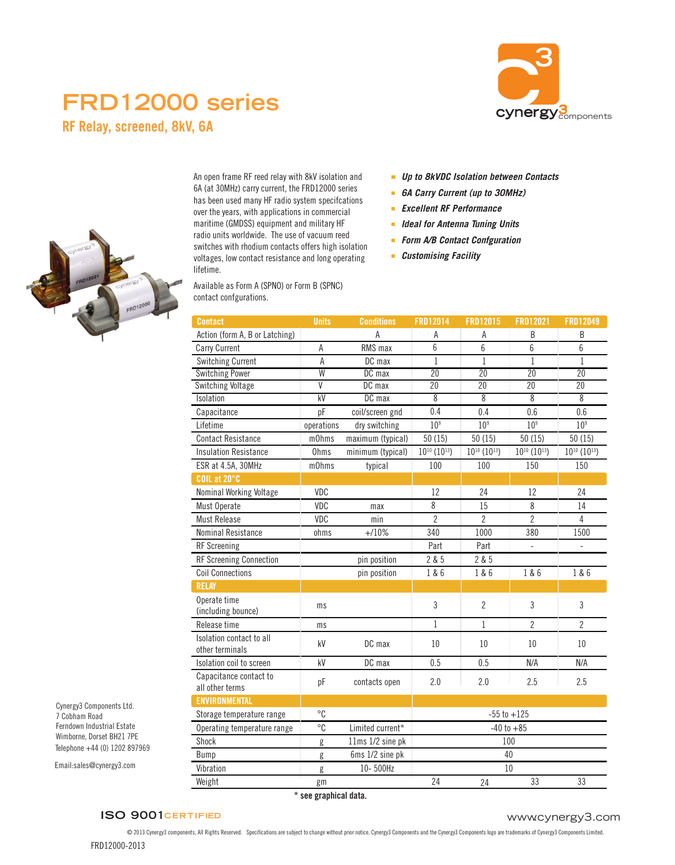# **FRD12000 series**



**RF Relay, screened, 8kV, 6A**



An open frame RF reed relay with 8kV isolation and 6A (at 30MHz) carry current, the FRD12000 series has been used many HF radio system specifcations over the years, with applications in commercial maritime (GMDSS) equipment and military HF radio units worldwide. The use of vacuum reed switches with rhodium contacts offers high isolation voltages, low contact resistance and long operating lifetime.

Available as Form A (SPNO) or Form B (SPNC) contact confgurations.

- *Up to 8kVDC Isolation between Contacts*
- *6A Carry Current (up to 30MHz)*
- $\mathbf{r}$ *Excellent RF Performance*
- *Ideal for Antenna Tuning Units*
- *Form A/B Contact Confguration*
- *Customising Facility*

| <b>Contact</b>                              | <b>Units</b>   | <b>Conditions</b> | <b>FRD12014</b>               | FRD12015                      | <b>FRD12021</b>               | <b>FRD12049</b>               |
|---------------------------------------------|----------------|-------------------|-------------------------------|-------------------------------|-------------------------------|-------------------------------|
| Action (form A, B or Latching)              |                | Α                 | А                             | А                             | B                             | B                             |
| Carry Current                               | А              | RMS max           | 6                             | 6                             | 6                             | 6                             |
| <b>Switching Current</b>                    | $\mathsf A$    | DC max            | $\mathbf{1}$                  | $\mathbf{1}$                  | 1                             | $\mathbf{1}$                  |
| <b>Switching Power</b>                      | W              | DC max            | $\overline{20}$               | 20                            | 20                            | $\overline{20}$               |
| <b>Switching Voltage</b>                    | $\overline{V}$ | DC max            | 20                            | 20                            | 20                            | 20                            |
| Isolation                                   | kV             | DC max            | 8                             | 8                             | 8                             | $\overline{8}$                |
| Capacitance                                 | pF             | coil/screen gnd   | 0.4                           | 0.4                           | 0.6                           | 0.6                           |
| Lifetime                                    | operations     | dry switching     | 10 <sup>9</sup>               | 10 <sup>9</sup>               | 10 <sup>9</sup>               | 10 <sup>9</sup>               |
| <b>Contact Resistance</b>                   | m0hms          | maximum (typical) | 50(15)                        | 50(15)                        | 50(15)                        | 50(15)                        |
| <b>Insulation Resistance</b>                | Ohms           | minimum (typical) | $10^{10}$ (10 <sup>13</sup> ) | $10^{10}$ (10 <sup>13</sup> ) | $10^{10}$ (10 <sup>13</sup> ) | $10^{10}$ (10 <sup>13</sup> ) |
| ESR at 4.5A, 30MHz                          | m0hms          | typical           | 100                           | 100                           | 150                           | 150                           |
| COIL at 20°C                                |                |                   |                               |                               |                               |                               |
| Nominal Working Voltage                     | VDC            |                   | 12                            | 24                            | 12                            | 24                            |
| Must Operate                                | VDC            | max               | 8                             | 15                            | 8                             | 14                            |
| <b>Must Release</b>                         | VDC            | min               | $\overline{2}$                | 2                             | $\overline{2}$                | 4                             |
| Nominal Resistance                          | ohms           | $+/10%$           | 340                           | 1000                          | 380                           | 1500                          |
| <b>RF</b> Screening                         |                |                   | Part                          | Part                          | ÷,                            | ÷,                            |
| RF Screening Connection                     |                | pin position      | 2 & 5                         | 2 & 5                         |                               |                               |
| <b>Coil Connections</b>                     |                | pin position      | 1 & 6                         | 1 & 6                         | 1 & 6                         | 1 & 6                         |
| <b>RELAY</b>                                |                |                   |                               |                               |                               |                               |
| Operate time                                |                |                   | 3                             | $\overline{2}$                | $\mathfrak{Z}$                | 3                             |
| (including bounce)                          | ms             |                   |                               |                               |                               |                               |
| Release time                                | ms             |                   | $\mathbf{1}$                  | $\mathbf{1}$                  | $\overline{2}$                | $\overline{2}$                |
| Isolation contact to all<br>other terminals | kV             | DC max            | 10                            | 10                            | 10                            | 10                            |
| Isolation coil to screen                    | kV             | DC max            | 0.5                           | 0.5                           | N/A                           | N/A                           |
| Capacitance contact to<br>all other terms   | pF             | contacts open     | 2.0                           | 2.0                           | 2.5                           | 2.5                           |
| <b>ENVIRONMENTAL</b>                        |                |                   |                               |                               |                               |                               |
| Storage temperature range                   | $^{\circ}C$    |                   | $-55$ to $+125$               |                               |                               |                               |
| Operating temperature range                 | $\overline{c}$ | Limited current*  | $-40$ to $+85$                |                               |                               |                               |
| Shock                                       | g              | 11ms 1/2 sine pk  | 100                           |                               |                               |                               |
| Bump                                        | g              | 6ms 1/2 sine pk   | 40                            |                               |                               |                               |
| Vibration                                   | g              | 10-500Hz          | 10                            |                               |                               |                               |
| Weight                                      | gm             |                   | 24                            | 24                            | 33                            | 33                            |

Telephone +44 (0) 1202 897969 Cynergy3 Components Ltd. 7 Cobham Road Ferndown Industrial Estate Wimborne, Dorset BH21 7PE

Email:sales@cynergy3.com

**\* see graphical data.**

# **ISO 9001CERTIFIED**

l,

# www.cynergy3.com

FRD12000-2013 © 2013 Cynergy3 components, All Rights Reserved. Specifications are subject to change without prior notice. Cynergy3 Components and the Cynergy3 Components logo are trademarks of Cynergy3 Components Limited.